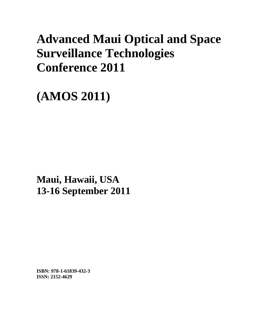# **Advanced Maui Optical and Space Surveillance Technologies Conference 2011**

**(AMOS 2011)** 

**Maui, Hawaii, USA 13-16 September 2011**

**ISBN: 978-1-61839-432-3 ISSN: 2152-4629**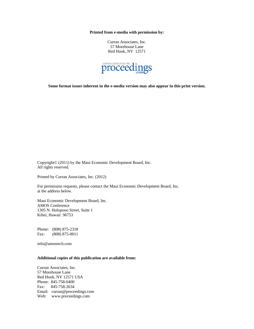**Printed from e-media with permission by:** 

Curran Associates, Inc. 57 Morehouse Lane Red Hook, NY 12571



**Some format issues inherent in the e-media version may also appear in this print version.** 

Copyright© (2011) by the Maui Economic Development Board, Inc. All rights reserved.

Printed by Curran Associates, Inc. (2012)

For permission requests, please contact the Maui Economic Development Board, Inc. at the address below.

Maui Economic Development Board, Inc. AMOS Conference 1305 N. Holopono Street, Suite 1 Kihei, Hawaii 96753

Phone: (808) 875-2318 Fax: (808) 875-0011

info@amostech.com

#### **Additional copies of this publication are available from:**

Curran Associates, Inc. 57 Morehouse Lane Red Hook, NY 12571 USA Phone: 845-758-0400 Fax: 845-758-2634 Email: curran@proceedings.com Web: www.proceedings.com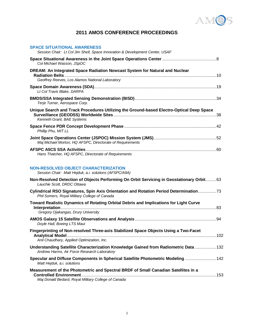

### **2011 AMOS CONFERENCE PROCEEDINGS**

| <b>SPACE SITUATIONAL AWARENESS</b><br>Session Chair: Lt Col Jim Shell, Space Innovation & Development Center, USAF                     |
|----------------------------------------------------------------------------------------------------------------------------------------|
| Col Michael Wasson, JSpOC                                                                                                              |
| DREAM: An Integrated Space Radiation Nowcast System for Natural and Nuclear<br>Geoffrey Reeves, Los Alamos National Laboratory         |
| Lt Col Travis Blake, DARPA                                                                                                             |
| Terje Turner, Aerospace Corp.                                                                                                          |
| Unique Search and Track Procedures Utilizing the Ground-based Electro-Optical Deep Space<br>Kenneth Grant, BAE Systems                 |
| Phillip Phu, MIT LL                                                                                                                    |
| Maj Michael Morton, HQ AFSPC, Directorate of Requirements                                                                              |
| Hans Thatcher, HQ AFSPC, Directorate of Requirements                                                                                   |
| <b>NON-RESOLVED OBJECT CHARACTERIZATION</b><br>Session Chair: Matt Hejduk, a.i. solutions (AFSPC/A9A)                                  |
| Non-Resolved Detection of Objects Performing On Orbit Servicing in Geostationary Orbit 63<br>Lauchie Scott. DRDC Ottawa                |
| Cylindrical RSO Signatures, Spin Axis Orientation and Rotation Period Determination73<br>Phil Somers, Royal Military College of Canada |
| Toward Realistic Dynamics of Rotating Orbital Debris and Implications for Light Curve<br>Gregory Ojakangas, Drury University           |
| Doyle Hall, Boeing LTS Maui                                                                                                            |
| Fingerprinting of Non-resolved Three-axis Stabilized Space Objects Using a Two-Facet<br>Anil Chaudhary, Applied Optimization, Inc.     |
| Understanding Satellite Characterization Knowledge Gained from Radiometric Data  132<br>Andrew Harms, Air Force Research Laboratory    |

| Specular and Diffuse Components in Spherical Satellite Photometric Modeling  142   |  |
|------------------------------------------------------------------------------------|--|
| Matt Hejduk, a.i. solutions                                                        |  |
| Measurement of the Photometric and Spectral BRDF of Small Canadian Satellites in a |  |
|                                                                                    |  |

*Maj Donald Bedard, Royal Military College of Canada*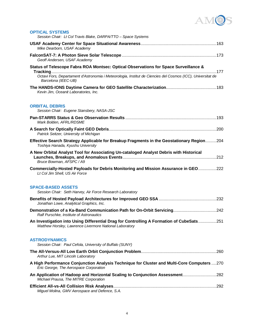

| <b>OPTICAL SYSTEMS</b><br>Session Chair: Lt Col Travis Blake, DARPA/TTO - Space Systems                                                                                                                                    |
|----------------------------------------------------------------------------------------------------------------------------------------------------------------------------------------------------------------------------|
| Mike Dearborn, USAF Academy                                                                                                                                                                                                |
| Geoff Andersen, USAF Academy                                                                                                                                                                                               |
| Status of Telescope Fabra ROA Montsec: Optical Observations for Space Surveillance &<br>Octavi Fors, Departament d'Astronomia i Meteorologia, Institut de Ciencies del Cosmos (ICC), Universitat de<br>Barcelona (IEEC-UB) |
| Kevin Jim, Oceanit Laboratories, Inc.                                                                                                                                                                                      |
| <b>ORBITAL DEBRIS</b><br>Session Chair: Eugene Stansbery, NASA-JSC                                                                                                                                                         |
| Mark Bolden, AFRL/RDSME                                                                                                                                                                                                    |
| Patrick Seitzer, University of Michigan                                                                                                                                                                                    |
| Effective Search Strategy Applicable for Breakup Fragments in the Geostationary Region204<br>Toshiya Hanada, Kyushu University                                                                                             |
| A New Orbital Analyst Tool for Associating Un-cataloged Analyst Debris with Historical<br>Bruce Bowman, AFSPC / A9                                                                                                         |
| Commercially-Hosted Payloads for Debris Monitoring and Mission Assurance in GEO222<br>Lt Col Jim Shell, US Air Force                                                                                                       |
| <b>SPACE-BASED ASSETS</b><br>Session Chair: Seth Harvey, Air Force Research Laboratory                                                                                                                                     |
| Jonathan Lowe, Analytical Graphics, Inc.                                                                                                                                                                                   |
| Ralf Purschke, Institute of Astronautics                                                                                                                                                                                   |
| An Investigation into Using Differential Drag for Controlling A Formation of CubeSats251<br>Matthew Horsley, Lawrence Livermore National Laboratory                                                                        |
| <b>ASTRODYNAMICS</b><br>Session Chair: Paul Cefola, University of Buffalo (SUNY)                                                                                                                                           |
| Arthur Lue, MIT Lincoln Laboratory                                                                                                                                                                                         |
| A High Performance Conjunction Analysis Technique for Cluster and Multi-Core Computers 270<br>Eric George, The Aerospace Corporation                                                                                       |
| An Application of Hadoop and Horizontal Scaling to Conjunction Assessment282<br>Michael Prausa, The MITRE Corporation                                                                                                      |
| Miguel Molina, GMV Aerospace and Defence, S.A.                                                                                                                                                                             |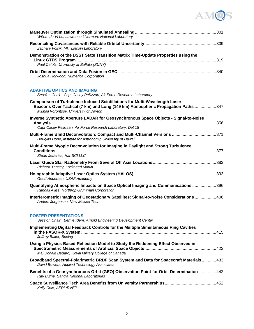

| Willem de Vries, Lawrence Livermore National Laboratory                                                                                                                                                         |
|-----------------------------------------------------------------------------------------------------------------------------------------------------------------------------------------------------------------|
| Zachary Folcik, MIT Lincoln Laboratory                                                                                                                                                                          |
| Demonstration of the DSST State Transition Matrix Time-Update Properties using the                                                                                                                              |
| Paul Cefola, University at Buffalo (SUNY)                                                                                                                                                                       |
| Joshua Horwood, Numerica Corporation                                                                                                                                                                            |
| <b>ADAPTIVE OPTICS AND IMAGING</b><br>Session Chair: Capt Casey Pellizzari, Air Force Research Laboratory                                                                                                       |
| <b>Comparison of Turbulence-Induced Scintillations for Multi-Wavelength Laser</b><br>Beacons Over Tactical (7 km) and Long (149 km) Atmospheric Propagation Paths347<br>Mikhail Vorontsov, University of Dayton |
| Inverse Synthetic Aperture LADAR for Geosynchronous Space Objects - Signal-to-Noise                                                                                                                             |
| Capt Casey Pellizzari, Air Force Research Laboratory, Det 15                                                                                                                                                    |
| Multi-Frame Blind Deconvolution: Compact and Multi-Channel Versions 371<br>Douglas Hope, Institute for Astronomy, University of Hawaii                                                                          |
| Multi-Frame Myopic Deconvolution for Imaging in Daylight and Strong Turbulence<br>Stuart Jefferies, HartSCI LLC                                                                                                 |
| Richard Tansey, Lockheed Martin                                                                                                                                                                                 |
| Geoff Andersen, USAF Academy                                                                                                                                                                                    |
| Quantifying Atmospheric Impacts on Space Optical Imaging and Communications 396<br>Randall Alliss, Northrop Grumman Corporation                                                                                 |
| Interferometric Imaging of Geostationary Satellites: Signal-to-Noise Considerations  406<br>Anders Jorgensen, New Mexico Tech                                                                                   |
| <b>POSTER PRESENTATIONS</b><br>Session Chair: Bernie Klem, Arnold Engineering Development Center                                                                                                                |
| Implementing Digital Feedback Controls for the Multiple Simultaneous Ring Cavities<br>Jeffrey Baker, Boeing                                                                                                     |
| Using a Physics-Based Reflection Model to Study the Reddening Effect Observed in<br>Maj Donald Bedard, Royal Military College of Canada                                                                         |
| <b>Broadband Spectral-Polarimetric BRDF Scan System and Data for Spacecraft Materials 433</b><br>David Bowers, Applied Technology Associates                                                                    |
| Benefits of a Geosynchronous Orbit (GEO) Observation Point for Orbit Determination442<br>Ray Byrne, Sandia National Laboratories                                                                                |
| Kelly Cole, AFRL/RVEP                                                                                                                                                                                           |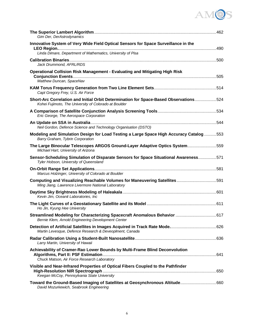# AMOS

| Gim Der, DerAstrodynamics                                                                                                                         |  |
|---------------------------------------------------------------------------------------------------------------------------------------------------|--|
| Innovative System of Very Wide Field Optical Sensors for Space Surveillance in the<br>Linda Dimare, Department of Mathematics, University of Pisa |  |
| Jack Drummond, AFRL/RDS                                                                                                                           |  |
| Operational Collision Risk Management - Evaluating and Mitigating High Risk<br>Matthew Duncan, SpaceNav                                           |  |
| Capt Gregory Frey, U.S. Air Force                                                                                                                 |  |
| Short-Arc Correlation and Initial Orbit Determination for Space-Based Observations524<br>Kohei Fujimoto, The University of Colorado at Boulder    |  |
| Eric George, The Aerospace Corporation                                                                                                            |  |
| Neil Gordon, Defence Science and Technology Organisation (DSTO)                                                                                   |  |
| Modeling and Simulation Design for Load Testing a Large Space High Accuracy Catalog  553<br>Barry Graham, Tybrin Corporation                      |  |
| The Large Binocular Telescopes ARGOS Ground-Layer Adaptive Optics System559<br>Michael Hart, University of Arizona                                |  |
| Sensor-Scheduling Simulation of Disparate Sensors for Space Situational Awareness571<br>Tyler Hobson, University of Queensland                    |  |
| Marcus Holzinger, University of Colorado at Boulder                                                                                               |  |
| Computing and Visualizing Reachable Volumes for Maneuvering Satellites591<br>Ming Jiang, Lawrence Livermore National Laboratory                   |  |
| Kevin Jim, Oceanit Laboratories, Inc                                                                                                              |  |
| Ho Jin, Kyung Hee University                                                                                                                      |  |
| Streamlined Modeling for Characterizing Spacecraft Anomalous Behavior  617<br>Bernie Klem, Arnold Engineering Development Center                  |  |
| Martin Levesque, Defence Research & Deveoplment, Canada                                                                                           |  |
| Larry Martin, University of Hawaii                                                                                                                |  |
| Achievability of Cramer-Rao Lower Bounds by Multi-Frame Blind Deconvolution<br>Chuck Matson, Air Force Research Laboratory                        |  |
| Visible and Near-Infrared Properties of Optical Fibers Coupled to the Pathfinder<br>Keegan McCoy, Pennsylvania State University                   |  |
| David Mozurkewich, Seabrook Engineering                                                                                                           |  |